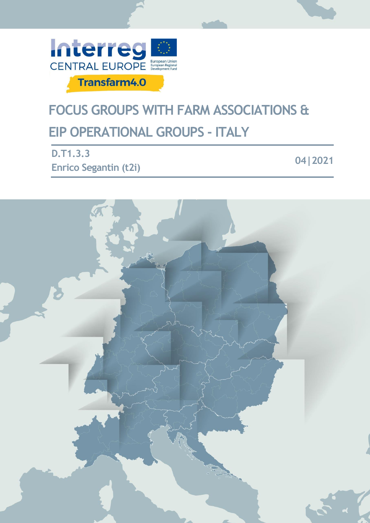

# **FOCUS GROUPS WITH FARM ASSOCIATIONS & EIP OPERATIONAL GROUPS - ITALY**

**D.T1.3.3 Enrico Segantin (t2i)**

**04|2021**

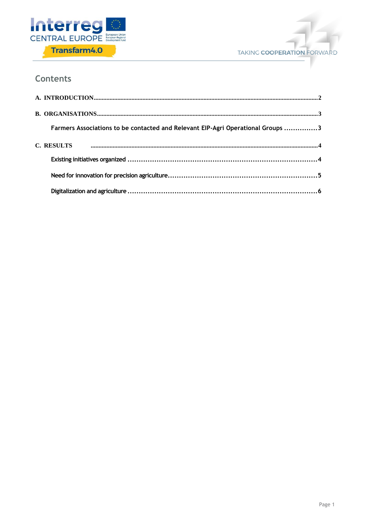



## **Contents**

| Farmers Associations to be contacted and Relevant EIP-Agri Operational Groups 3 |  |
|---------------------------------------------------------------------------------|--|
| <b>C. RESULTS</b>                                                               |  |
|                                                                                 |  |
|                                                                                 |  |
|                                                                                 |  |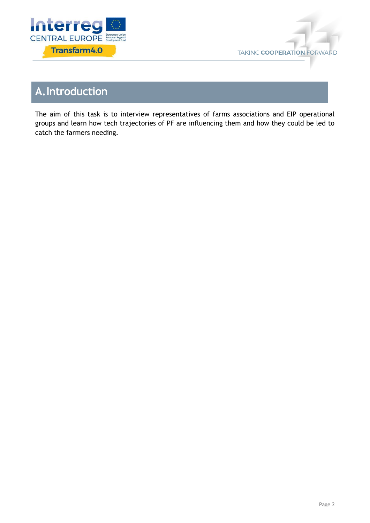



# <span id="page-2-0"></span>**A.Introduction**

The aim of this task is to interview representatives of farms associations and EIP operational groups and learn how tech trajectories of PF are influencing them and how they could be led to catch the farmers needing.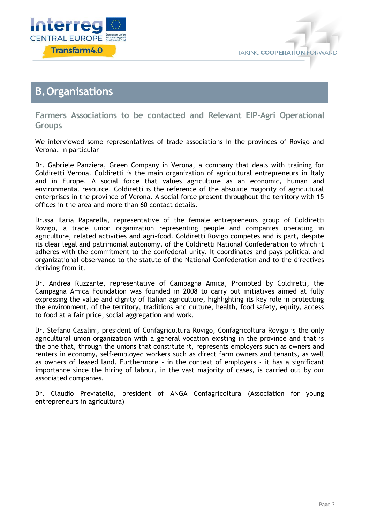



## <span id="page-3-0"></span>**B.Organisations**

<span id="page-3-1"></span>**Farmers Associations to be contacted and Relevant EIP-Agri Operational Groups**

We interviewed some representatives of trade associations in the provinces of Rovigo and Verona. In particular

Dr. Gabriele Panziera, Green Company in Verona, a company that deals with training for Coldiretti Verona. Coldiretti is the main organization of agricultural entrepreneurs in Italy and in Europe. A social force that values agriculture as an economic, human and environmental resource. Coldiretti is the reference of the absolute majority of agricultural enterprises in the province of Verona. A social force present throughout the territory with 15 offices in the area and more than 60 contact details.

Dr.ssa Ilaria Paparella, representative of the female entrepreneurs group of Coldiretti Rovigo, a trade union organization representing people and companies operating in agriculture, related activities and agri-food. Coldiretti Rovigo competes and is part, despite its clear legal and patrimonial autonomy, of the Coldiretti National Confederation to which it adheres with the commitment to the confederal unity. It coordinates and pays political and organizational observance to the statute of the National Confederation and to the directives deriving from it.

Dr. Andrea Ruzzante, representative of Campagna Amica, Promoted by Coldiretti, the Campagna Amica Foundation was founded in 2008 to carry out initiatives aimed at fully expressing the value and dignity of Italian agriculture, highlighting its key role in protecting the environment, of the territory, traditions and culture, health, food safety, equity, access to food at a fair price, social aggregation and work.

Dr. Stefano Casalini, president of Confagricoltura Rovigo, Confagricoltura Rovigo is the only agricultural union organization with a general vocation existing in the province and that is the one that, through the unions that constitute it, represents employers such as owners and renters in economy, self-employed workers such as direct farm owners and tenants, as well as owners of leased land. Furthermore - in the context of employers - it has a significant importance since the hiring of labour, in the vast majority of cases, is carried out by our associated companies.

Dr. Claudio Previatello, president of ANGA Confagricoltura (Association for young entrepreneurs in agricultura)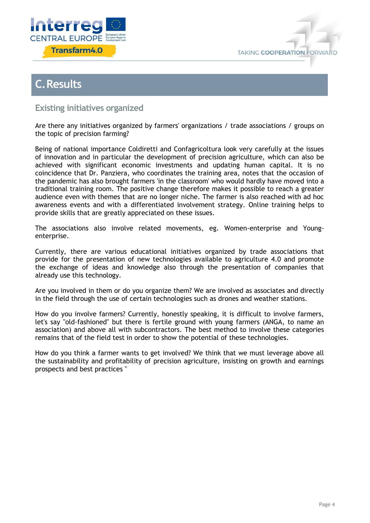



## <span id="page-4-0"></span>**C.Results**

### <span id="page-4-1"></span>**Existing initiatives organized**

Are there any initiatives organized by farmers' organizations / trade associations / groups on the topic of precision farming?

Being of national importance Coldiretti and Confagricoltura look very carefully at the issues of innovation and in particular the development of precision agriculture, which can also be achieved with significant economic investments and updating human capital. It is no coincidence that Dr. Panziera, who coordinates the training area, notes that the occasion of the pandemic has also brought farmers 'in the classroom' who would hardly have moved into a traditional training room. The positive change therefore makes it possible to reach a greater audience even with themes that are no longer niche. The farmer is also reached with ad hoc awareness events and with a differentiated involvement strategy. Online training helps to provide skills that are greatly appreciated on these issues.

The associations also involve related movements, eg. Women-enterprise and Youngenterprise.

Currently, there are various educational initiatives organized by trade associations that provide for the presentation of new technologies available to agriculture 4.0 and promote the exchange of ideas and knowledge also through the presentation of companies that already use this technology.

Are you involved in them or do you organize them? We are involved as associates and directly in the field through the use of certain technologies such as drones and weather stations.

How do you involve farmers? Currently, honestly speaking, it is difficult to involve farmers, let's say "old-fashioned" but there is fertile ground with young farmers (ANGA, to name an association) and above all with subcontractors. The best method to involve these categories remains that of the field test in order to show the potential of these technologies.

How do you think a farmer wants to get involved? We think that we must leverage above all the sustainability and profitability of precision agriculture, insisting on growth and earnings prospects and best practices "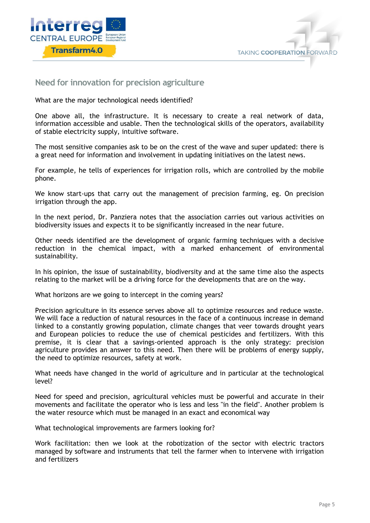



#### <span id="page-5-0"></span>**Need for innovation for precision agriculture**

What are the major technological needs identified?

One above all, the infrastructure. It is necessary to create a real network of data, information accessible and usable. Then the technological skills of the operators, availability of stable electricity supply, intuitive software.

The most sensitive companies ask to be on the crest of the wave and super updated: there is a great need for information and involvement in updating initiatives on the latest news.

For example, he tells of experiences for irrigation rolls, which are controlled by the mobile phone.

We know start-ups that carry out the management of precision farming, eg. On precision irrigation through the app.

In the next period, Dr. Panziera notes that the association carries out various activities on biodiversity issues and expects it to be significantly increased in the near future.

Other needs identified are the development of organic farming techniques with a decisive reduction in the chemical impact, with a marked enhancement of environmental sustainability.

In his opinion, the issue of sustainability, biodiversity and at the same time also the aspects relating to the market will be a driving force for the developments that are on the way.

What horizons are we going to intercept in the coming years?

Precision agriculture in its essence serves above all to optimize resources and reduce waste. We will face a reduction of natural resources in the face of a continuous increase in demand linked to a constantly growing population, climate changes that veer towards drought years and European policies to reduce the use of chemical pesticides and fertilizers. With this premise, it is clear that a savings-oriented approach is the only strategy: precision agriculture provides an answer to this need. Then there will be problems of energy supply, the need to optimize resources, safety at work.

What needs have changed in the world of agriculture and in particular at the technological level?

Need for speed and precision, agricultural vehicles must be powerful and accurate in their movements and facilitate the operator who is less and less "in the field". Another problem is the water resource which must be managed in an exact and economical way

What technological improvements are farmers looking for?

Work facilitation: then we look at the robotization of the sector with electric tractors managed by software and instruments that tell the farmer when to intervene with irrigation and fertilizers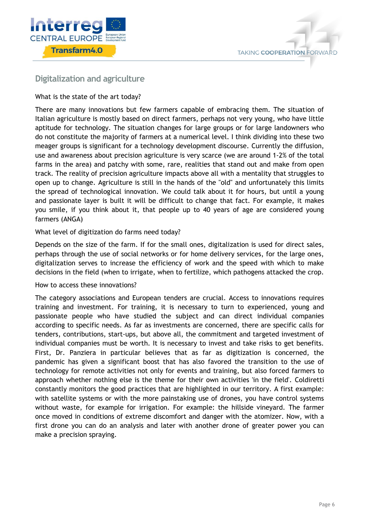



#### <span id="page-6-0"></span>**Digitalization and agriculture**

What is the state of the art today?

There are many innovations but few farmers capable of embracing them. The situation of Italian agriculture is mostly based on direct farmers, perhaps not very young, who have little aptitude for technology. The situation changes for large groups or for large landowners who do not constitute the majority of farmers at a numerical level. I think dividing into these two meager groups is significant for a technology development discourse. Currently the diffusion, use and awareness about precision agriculture is very scarce (we are around 1-2% of the total farms in the area) and patchy with some, rare, realities that stand out and make from open track. The reality of precision agriculture impacts above all with a mentality that struggles to open up to change. Agriculture is still in the hands of the "old" and unfortunately this limits the spread of technological innovation. We could talk about it for hours, but until a young and passionate layer is built it will be difficult to change that fact. For example, it makes you smile, if you think about it, that people up to 40 years of age are considered young farmers (ANGA)

#### What level of digitization do farms need today?

Depends on the size of the farm. If for the small ones, digitalization is used for direct sales, perhaps through the use of social networks or for home delivery services, for the large ones, digitalization serves to increase the efficiency of work and the speed with which to make decisions in the field (when to irrigate, when to fertilize, which pathogens attacked the crop.

#### How to access these innovations?

The category associations and European tenders are crucial. Access to innovations requires training and investment. For training, it is necessary to turn to experienced, young and passionate people who have studied the subject and can direct individual companies according to specific needs. As far as investments are concerned, there are specific calls for tenders, contributions, start-ups, but above all, the commitment and targeted investment of individual companies must be worth. It is necessary to invest and take risks to get benefits. First, Dr. Panziera in particular believes that as far as digitization is concerned, the pandemic has given a significant boost that has also favored the transition to the use of technology for remote activities not only for events and training, but also forced farmers to approach whether nothing else is the theme for their own activities 'in the field'. Coldiretti constantly monitors the good practices that are highlighted in our territory. A first example: with satellite systems or with the more painstaking use of drones, you have control systems without waste, for example for irrigation. For example: the hillside vineyard. The farmer once moved in conditions of extreme discomfort and danger with the atomizer. Now, with a first drone you can do an analysis and later with another drone of greater power you can make a precision spraying.